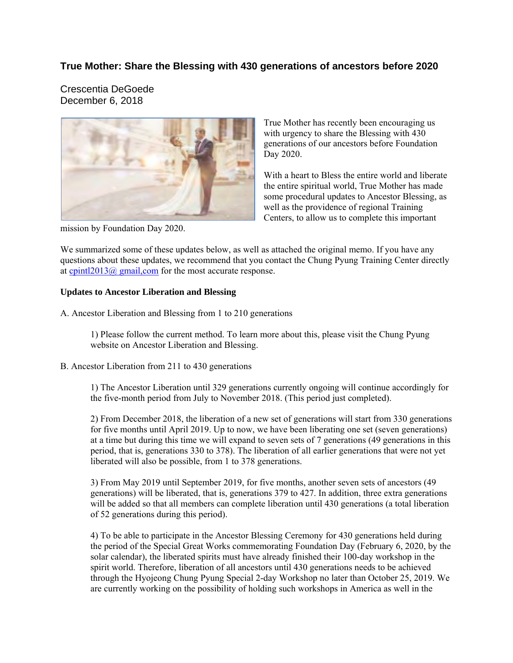## **True Mother: Share the Blessing with 430 generations of ancestors before 2020**

Crescentia DeGoede December 6, 2018



mission by Foundation Day 2020.

True Mother has recently been encouraging us with urgency to share the Blessing with 430 generations of our ancestors before Foundation Day 2020.

With a heart to Bless the entire world and liberate the entire spiritual world, True Mother has made some procedural updates to Ancestor Blessing, as well as the providence of regional Training Centers, to allow us to complete this important

We summarized some of these updates below, as well as attached the original memo. If you have any questions about these updates, we recommend that you contact the Chung Pyung Training Center directly at cpintl2013@ gmail,com for the most accurate response.

#### **Updates to Ancestor Liberation and Blessing**

A. Ancestor Liberation and Blessing from 1 to 210 generations

1) Please follow the current method. To learn more about this, please visit the Chung Pyung website on Ancestor Liberation and Blessing.

B. Ancestor Liberation from 211 to 430 generations

1) The Ancestor Liberation until 329 generations currently ongoing will continue accordingly for the five-month period from July to November 2018. (This period just completed).

2) From December 2018, the liberation of a new set of generations will start from 330 generations for five months until April 2019. Up to now, we have been liberating one set (seven generations) at a time but during this time we will expand to seven sets of 7 generations (49 generations in this period, that is, generations 330 to 378). The liberation of all earlier generations that were not yet liberated will also be possible, from 1 to 378 generations.

3) From May 2019 until September 2019, for five months, another seven sets of ancestors (49 generations) will be liberated, that is, generations 379 to 427. In addition, three extra generations will be added so that all members can complete liberation until 430 generations (a total liberation of 52 generations during this period).

4) To be able to participate in the Ancestor Blessing Ceremony for 430 generations held during the period of the Special Great Works commemorating Foundation Day (February 6, 2020, by the solar calendar), the liberated spirits must have already finished their 100-day workshop in the spirit world. Therefore, liberation of all ancestors until 430 generations needs to be achieved through the Hyojeong Chung Pyung Special 2-day Workshop no later than October 25, 2019. We are currently working on the possibility of holding such workshops in America as well in the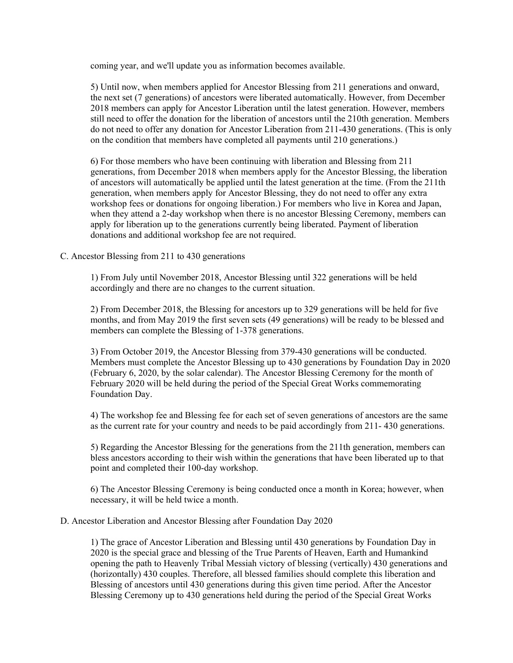coming year, and we'll update you as information becomes available.

5) Until now, when members applied for Ancestor Blessing from 211 generations and onward, the next set (7 generations) of ancestors were liberated automatically. However, from December 2018 members can apply for Ancestor Liberation until the latest generation. However, members still need to offer the donation for the liberation of ancestors until the 210th generation. Members do not need to offer any donation for Ancestor Liberation from 211-430 generations. (This is only on the condition that members have completed all payments until 210 generations.)

6) For those members who have been continuing with liberation and Blessing from 211 generations, from December 2018 when members apply for the Ancestor Blessing, the liberation of ancestors will automatically be applied until the latest generation at the time. (From the 211th generation, when members apply for Ancestor Blessing, they do not need to offer any extra workshop fees or donations for ongoing liberation.) For members who live in Korea and Japan, when they attend a 2-day workshop when there is no ancestor Blessing Ceremony, members can apply for liberation up to the generations currently being liberated. Payment of liberation donations and additional workshop fee are not required.

#### C. Ancestor Blessing from 211 to 430 generations

1) From July until November 2018, Ancestor Blessing until 322 generations will be held accordingly and there are no changes to the current situation.

2) From December 2018, the Blessing for ancestors up to 329 generations will be held for five months, and from May 2019 the first seven sets (49 generations) will be ready to be blessed and members can complete the Blessing of 1-378 generations.

3) From October 2019, the Ancestor Blessing from 379-430 generations will be conducted. Members must complete the Ancestor Blessing up to 430 generations by Foundation Day in 2020 (February 6, 2020, by the solar calendar). The Ancestor Blessing Ceremony for the month of February 2020 will be held during the period of the Special Great Works commemorating Foundation Day.

4) The workshop fee and Blessing fee for each set of seven generations of ancestors are the same as the current rate for your country and needs to be paid accordingly from 211- 430 generations.

5) Regarding the Ancestor Blessing for the generations from the 211th generation, members can bless ancestors according to their wish within the generations that have been liberated up to that point and completed their 100-day workshop.

6) The Ancestor Blessing Ceremony is being conducted once a month in Korea; however, when necessary, it will be held twice a month.

#### D. Ancestor Liberation and Ancestor Blessing after Foundation Day 2020

1) The grace of Ancestor Liberation and Blessing until 430 generations by Foundation Day in 2020 is the special grace and blessing of the True Parents of Heaven, Earth and Humankind opening the path to Heavenly Tribal Messiah victory of blessing (vertically) 430 generations and (horizontally) 430 couples. Therefore, all blessed families should complete this liberation and Blessing of ancestors until 430 generations during this given time period. After the Ancestor Blessing Ceremony up to 430 generations held during the period of the Special Great Works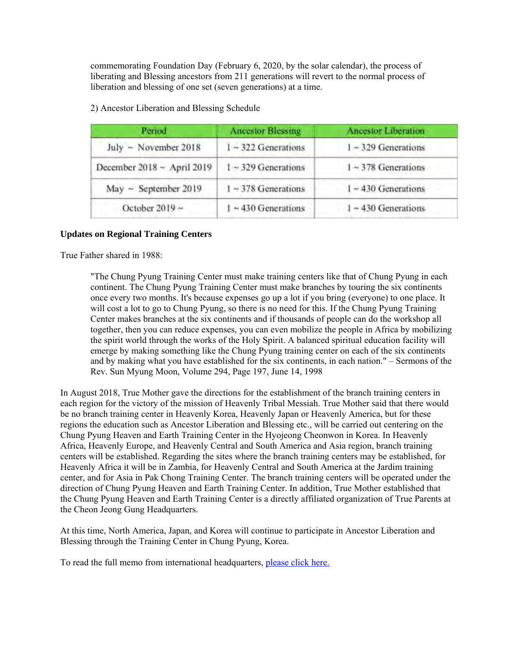commemorating Foundation Day (February 6, 2020, by the solar calendar), the process of liberating and Blessing ancestors from 211 generations will revert to the normal process of liberation and blessing of one set (seven generations) at a time.

| Period                     | <b>Ancestor Blessing</b> | <b>Ancestor Liberation</b> |
|----------------------------|--------------------------|----------------------------|
| July ~ November 2018       | $1 - 322$ Generations    | $1 - 329$ Generations      |
| December 2018 ~ April 2019 | $1 - 329$ Generations    | $1 - 378$ Generations      |
| $May - September 2019$     | $1 \sim 378$ Generations | $1 - 430$ Generations      |
| October 2019 $\sim$        | $1 \sim 430$ Generations | $1 - 430$ Generations      |

2) Ancestor Liberation and Blessing Schedule

#### **Updates on Regional Training Centers**

True Father shared in 1988:

"The Chung Pyung Training Center must make training centers like that of Chung Pyung in each continent. The Chung Pyung Training Center must make branches by touring the six continents once every two months. It's because expenses go up a lot if you bring (everyone) to one place. It will cost a lot to go to Chung Pyung, so there is no need for this. If the Chung Pyung Training Center makes branches at the six continents and if thousands of people can do the workshop all together, then you can reduce expenses, you can even mobilize the people in Africa by mobilizing the spirit world through the works of the Holy Spirit. A balanced spiritual education facility will emerge by making something like the Chung Pyung training center on each of the six continents and by making what you have established for the six continents, in each nation." – Sermons of the Rev. Sun Myung Moon, Volume 294, Page 197, June 14, 1998

In August 2018, True Mother gave the directions for the establishment of the branch training centers in each region for the victory of the mission of Heavenly Tribal Messiah. True Mother said that there would be no branch training center in Heavenly Korea, Heavenly Japan or Heavenly America, but for these regions the education such as Ancestor Liberation and Blessing etc., will be carried out centering on the Chung Pyung Heaven and Earth Training Center in the Hyojeong Cheonwon in Korea. In Heavenly Africa, Heavenly Europe, and Heavenly Central and South America and Asia region, branch training centers will be established. Regarding the sites where the branch training centers may be established, for Heavenly Africa it will be in Zambia, for Heavenly Central and South America at the Jardim training center, and for Asia in Pak Chong Training Center. The branch training centers will be operated under the direction of Chung Pyung Heaven and Earth Training Center. In addition, True Mother established that the Chung Pyung Heaven and Earth Training Center is a directly affiliated organization of True Parents at the Cheon Jeong Gung Headquarters.

At this time, North America, Japan, and Korea will continue to participate in Ancestor Liberation and Blessing through the Training Center in Chung Pyung, Korea.

To read the full memo from international headquarters, please click here.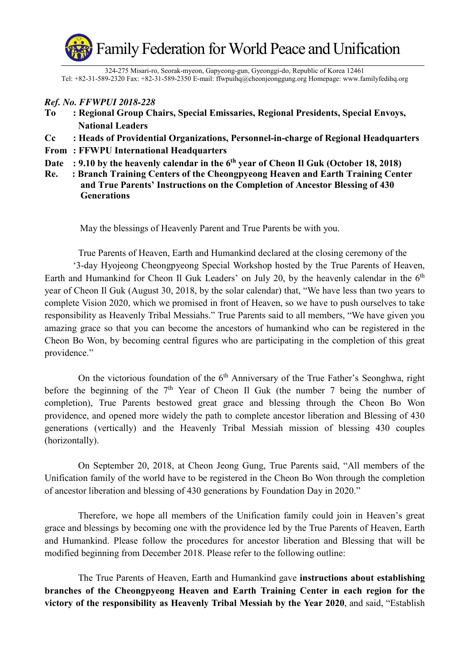

324-275 Misari-ro, Seorak-myeon, Gapyeong-gun, Gyeonggi-do, Republic of Korea 12461 Tel: +82-31-589-2320 Fax: +82-31-589-2350 E-mail: ffwpuihq@cheonjeonggung.org Homepage: www.familyfedihq.org

## *Ref. No. FFWPUI 2018-228*

- **To : Regional Group Chairs, Special Emissaries, Regional Presidents, Special Envoys, National Leaders**
- **Cc : Heads of Providential Organizations, Personnel-in-charge of Regional Headquarters**
- **From : FFWPU International Headquarters**
- Date : 9.10 by the heavenly calendar in the 6<sup>th</sup> year of Cheon Il Guk (October 18, 2018)
- **Re. : Branch Training Centers of the Cheongpyeong Heaven and Earth Training Center and True Parents' Instructions on the Completion of Ancestor Blessing of 430 Generations**

May the blessings of Heavenly Parent and True Parents be with you.

True Parents of Heaven, Earth and Humankind declared at the closing ceremony of the

 '3-day Hyojeong Cheongpyeong Special Workshop hosted by the True Parents of Heaven, Earth and Humankind for Cheon Il Guk Leaders' on July 20, by the heavenly calendar in the  $6<sup>th</sup>$ year of Cheon Il Guk (August 30, 2018, by the solar calendar) that, "We have less than two years to complete Vision 2020, which we promised in front of Heaven, so we have to push ourselves to take responsibility as Heavenly Tribal Messiahs." True Parents said to all members, "We have given you amazing grace so that you can become the ancestors of humankind who can be registered in the Cheon Bo Won, by becoming central figures who are participating in the completion of this great providence."

On the victorious foundation of the  $6<sup>th</sup>$  Anniversary of the True Father's Seonghwa, right before the beginning of the  $7<sup>th</sup>$  Year of Cheon Il Guk (the number 7 being the number of completion), True Parents bestowed great grace and blessing through the Cheon Bo Won providence, and opened more widely the path to complete ancestor liberation and Blessing of 430 generations (vertically) and the Heavenly Tribal Messiah mission of blessing 430 couples (horizontally).

On September 20, 2018, at Cheon Jeong Gung, True Parents said, "All members of the Unification family of the world have to be registered in the Cheon Bo Won through the completion of ancestor liberation and blessing of 430 generations by Foundation Day in 2020."

 Therefore, we hope all members of the Unification family could join in Heaven's great grace and blessings by becoming one with the providence led by the True Parents of Heaven, Earth and Humankind. Please follow the procedures for ancestor liberation and Blessing that will be modified beginning from December 2018. Please refer to the following outline:

The True Parents of Heaven, Earth and Humankind gave **instructions about establishing branches of the Cheongpyeong Heaven and Earth Training Center in each region for the victory of the responsibility as Heavenly Tribal Messiah by the Year 2020**, and said, "Establish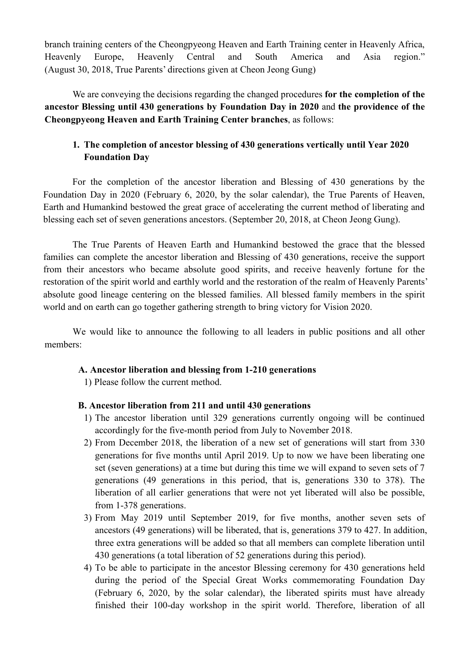branch training centers of the Cheongpyeong Heaven and Earth Training center in Heavenly Africa, Heavenly Europe, Heavenly Central and South America and Asia region."(August 30, 2018, True Parents' directions given at Cheon Jeong Gung)

We are conveying the decisions regarding the changed procedures **for the completion of the ancestor Blessing until 430 generations by Foundation Day in 2020** and **the providence of the Cheongpyeong Heaven and Earth Training Center branches**, as follows:

# **1. The completion of ancestor blessing of 430 generations vertically until Year 2020 Foundation Day**

For the completion of the ancestor liberation and Blessing of 430 generations by the Foundation Day in 2020 (February 6, 2020, by the solar calendar), the True Parents of Heaven, Earth and Humankind bestowed the great grace of accelerating the current method of liberating and blessing each set of seven generations ancestors. (September 20, 2018, at Cheon Jeong Gung).

The True Parents of Heaven Earth and Humankind bestowed the grace that the blessed families can complete the ancestor liberation and Blessing of 430 generations, receive the support from their ancestors who became absolute good spirits, and receive heavenly fortune for the restoration of the spirit world and earthly world and the restoration of the realm of Heavenly Parents' absolute good lineage centering on the blessed families. All blessed family members in the spirit world and on earth can go together gathering strength to bring victory for Vision 2020.

We would like to announce the following to all leaders in public positions and all other members:

## **A. Ancestor liberation and blessing from 1-210 generations**

1) Please follow the current method.

## **B. Ancestor liberation from 211 and until 430 generations**

- 1) The ancestor liberation until 329 generations currently ongoing will be continued accordingly for the five-month period from July to November 2018.
- 2) From December 2018, the liberation of a new set of generations will start from 330 generations for five months until April 2019. Up to now we have been liberating one set (seven generations) at a time but during this time we will expand to seven sets of 7 generations (49 generations in this period, that is, generations 330 to 378). The liberation of all earlier generations that were not yet liberated will also be possible, from 1-378 generations.
- 3) From May 2019 until September 2019, for five months, another seven sets of ancestors (49 generations) will be liberated, that is, generations 379 to 427. In addition, three extra generations will be added so that all members can complete liberation until 430 generations (a total liberation of 52 generations during this period).
- 4) To be able to participate in the ancestor Blessing ceremony for 430 generations held during the period of the Special Great Works commemorating Foundation Day (February 6, 2020, by the solar calendar), the liberated spirits must have already finished their 100-day workshop in the spirit world. Therefore, liberation of all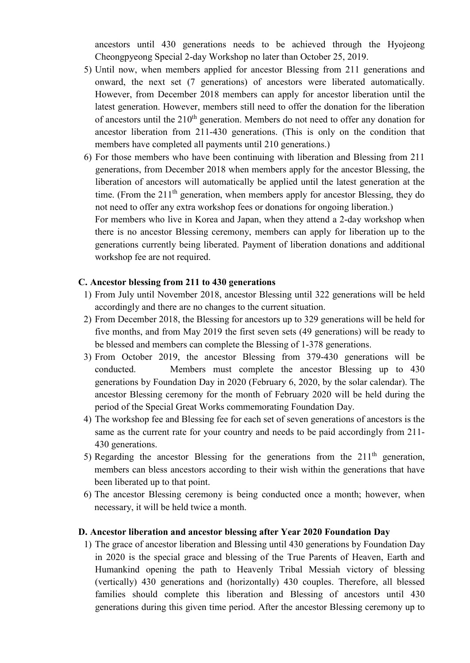ancestors until 430 generations needs to be achieved through the Hyojeong Cheongpyeong Special 2-day Workshop no later than October 25, 2019.

- 5) Until now, when members applied for ancestor Blessing from 211 generations and onward, the next set (7 generations) of ancestors were liberated automatically. However, from December 2018 members can apply for ancestor liberation until the latest generation. However, members still need to offer the donation for the liberation of ancestors until the  $210<sup>th</sup>$  generation. Members do not need to offer any donation for ancestor liberation from 211-430 generations. (This is only on the condition that members have completed all payments until 210 generations.)
- 6) For those members who have been continuing with liberation and Blessing from 211 generations, from December 2018 when members apply for the ancestor Blessing, the liberation of ancestors will automatically be applied until the latest generation at the time. (From the  $211<sup>th</sup>$  generation, when members apply for ancestor Blessing, they do not need to offer any extra workshop fees or donations for ongoing liberation.) For members who live in Korea and Japan, when they attend a 2-day workshop when there is no ancestor Blessing ceremony, members can apply for liberation up to the generations currently being liberated. Payment of liberation donations and additional workshop fee are not required.

### **C. Ancestor blessing from 211 to 430 generations**

- 1) From July until November 2018, ancestor Blessing until 322 generations will be held accordingly and there are no changes to the current situation.
- 2) From December 2018, the Blessing for ancestors up to 329 generations will be held for five months, and from May 2019 the first seven sets (49 generations) will be ready to be blessed and members can complete the Blessing of 1-378 generations.
- 3) From October 2019, the ancestor Blessing from 379-430 generations will be conducted. Members must complete the ancestor Blessing up to 430 generations by Foundation Day in 2020 (February 6, 2020, by the solar calendar). The ancestor Blessing ceremony for the month of February 2020 will be held during the period of the Special Great Works commemorating Foundation Day.
- 4) The workshop fee and Blessing fee for each set of seven generations of ancestors is the same as the current rate for your country and needs to be paid accordingly from 211- 430 generations.
- 5) Regarding the ancestor Blessing for the generations from the  $211<sup>th</sup>$  generation, members can bless ancestors according to their wish within the generations that have been liberated up to that point.
- 6) The ancestor Blessing ceremony is being conducted once a month; however, when necessary, it will be held twice a month.

#### **D. Ancestor liberation and ancestor blessing after Year 2020 Foundation Day**

1) The grace of ancestor liberation and Blessing until 430 generations by Foundation Day in 2020 is the special grace and blessing of the True Parents of Heaven, Earth and Humankind opening the path to Heavenly Tribal Messiah victory of blessing (vertically) 430 generations and (horizontally) 430 couples. Therefore, all blessed families should complete this liberation and Blessing of ancestors until 430 generations during this given time period. After the ancestor Blessing ceremony up to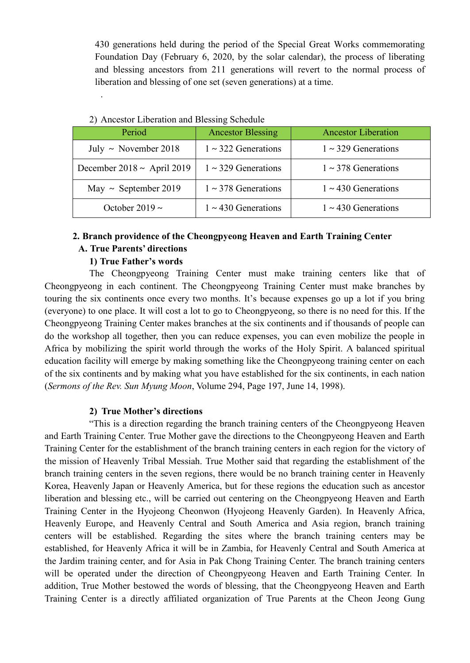430 generations held during the period of the Special Great Works commemorating Foundation Day (February 6, 2020, by the solar calendar), the process of liberating and blessing ancestors from 211 generations will revert to the normal process of liberation and blessing of one set (seven generations) at a time.

| Period                          | <b>Ancestor Blessing</b> | <b>Ancestor Liberation</b> |  |  |
|---------------------------------|--------------------------|----------------------------|--|--|
| July $\sim$ November 2018       | $1 \sim 322$ Generations | $1 \sim 329$ Generations   |  |  |
| December 2018 $\sim$ April 2019 | $1 \sim 329$ Generations | $1 \sim 378$ Generations   |  |  |
| May $\sim$ September 2019       | $1 \sim 378$ Generations | $1 \sim 430$ Generations   |  |  |
| October 2019 $\sim$             | $1 \sim 430$ Generations | $1 \sim 430$ Generations   |  |  |

| 2) Ancestor Liberation and Blessing Schedule |  |
|----------------------------------------------|--|

## **2. Branch providence of the Cheongpyeong Heaven and Earth Training Center A. True Parents' directions**

## **1) True Father's words**

The Cheongpyeong Training Center must make training centers like that of Cheongpyeong in each continent. The Cheongpyeong Training Center must make branches by touring the six continents once every two months. It's because expenses go up a lot if you bring (everyone) to one place. It will cost a lot to go to Cheongpyeong, so there is no need for this. If the Cheongpyeong Training Center makes branches at the six continents and if thousands of people can do the workshop all together, then you can reduce expenses, you can even mobilize the people in Africa by mobilizing the spirit world through the works of the Holy Spirit. A balanced spiritual education facility will emerge by making something like the Cheongpyeong training center on each of the six continents and by making what you have established for the six continents, in each nation (*Sermons of the Rev. Sun Myung Moon*, Volume 294, Page 197, June 14, 1998).

## **2) True Mother's directions**

"This is a direction regarding the branch training centers of the Cheongpyeong Heaven and Earth Training Center. True Mother gave the directions to the Cheongpyeong Heaven and Earth Training Center for the establishment of the branch training centers in each region for the victory of the mission of Heavenly Tribal Messiah. True Mother said that regarding the establishment of the branch training centers in the seven regions, there would be no branch training center in Heavenly Korea, Heavenly Japan or Heavenly America, but for these regions the education such as ancestor liberation and blessing etc., will be carried out centering on the Cheongpyeong Heaven and Earth Training Center in the Hyojeong Cheonwon (Hyojeong Heavenly Garden). In Heavenly Africa, Heavenly Europe, and Heavenly Central and South America and Asia region, branch training centers will be established. Regarding the sites where the branch training centers may be established, for Heavenly Africa it will be in Zambia, for Heavenly Central and South America at the Jardim training center, and for Asia in Pak Chong Training Center. The branch training centers will be operated under the direction of Cheongpyeong Heaven and Earth Training Center. In addition, True Mother bestowed the words of blessing, that the Cheongpyeong Heaven and Earth Training Center is a directly affiliated organization of True Parents at the Cheon Jeong Gung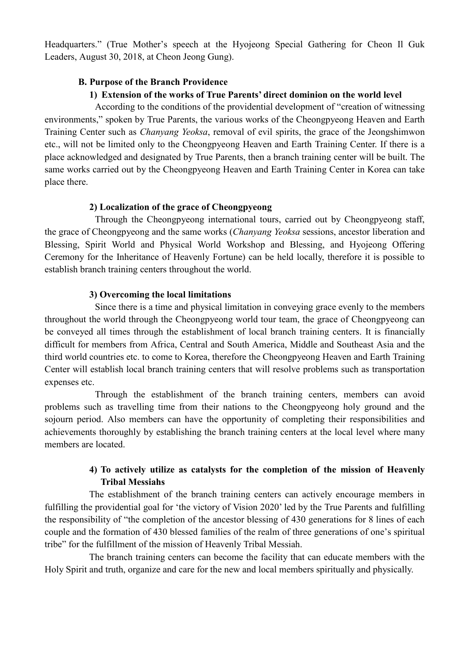Headquarters." (True Mother's speech at the Hyojeong Special Gathering for Cheon Il Guk Leaders, August 30, 2018, at Cheon Jeong Gung).

## **B. Purpose of the Branch Providence**

## **1) Extension of the works of True Parents' direct dominion on the world level**

According to the conditions of the providential development of "creation of witnessing environments," spoken by True Parents, the various works of the Cheongpyeong Heaven and Earth Training Center such as *Chanyang Yeoksa*, removal of evil spirits, the grace of the Jeongshimwon etc., will not be limited only to the Cheongpyeong Heaven and Earth Training Center. If there is a place acknowledged and designated by True Parents, then a branch training center will be built. The same works carried out by the Cheongpyeong Heaven and Earth Training Center in Korea can take place there.

## **2) Localization of the grace of Cheongpyeong**

Through the Cheongpyeong international tours, carried out by Cheongpyeong staff, the grace of Cheongpyeong and the same works (*Chanyang Yeoksa* sessions, ancestor liberation and Blessing, Spirit World and Physical World Workshop and Blessing, and Hyojeong Offering Ceremony for the Inheritance of Heavenly Fortune) can be held locally, therefore it is possible to establish branch training centers throughout the world.

## **3) Overcoming the local limitations**

Since there is a time and physical limitation in conveying grace evenly to the members throughout the world through the Cheongpyeong world tour team, the grace of Cheongpyeong can be conveyed all times through the establishment of local branch training centers. It is financially difficult for members from Africa, Central and South America, Middle and Southeast Asia and the third world countries etc. to come to Korea, therefore the Cheongpyeong Heaven and Earth Training Center will establish local branch training centers that will resolve problems such as transportation expenses etc.

Through the establishment of the branch training centers, members can avoid problems such as travelling time from their nations to the Cheongpyeong holy ground and the sojourn period. Also members can have the opportunity of completing their responsibilities and achievements thoroughly by establishing the branch training centers at the local level where many members are located.

# **4) To actively utilize as catalysts for the completion of the mission of Heavenly Tribal Messiahs**

The establishment of the branch training centers can actively encourage members in fulfilling the providential goal for 'the victory of Vision 2020' led by the True Parents and fulfilling the responsibility of "the completion of the ancestor blessing of 430 generations for 8 lines of each couple and the formation of 430 blessed families of the realm of three generations of one's spiritual tribe" for the fulfillment of the mission of Heavenly Tribal Messiah.

The branch training centers can become the facility that can educate members with the Holy Spirit and truth, organize and care for the new and local members spiritually and physically.